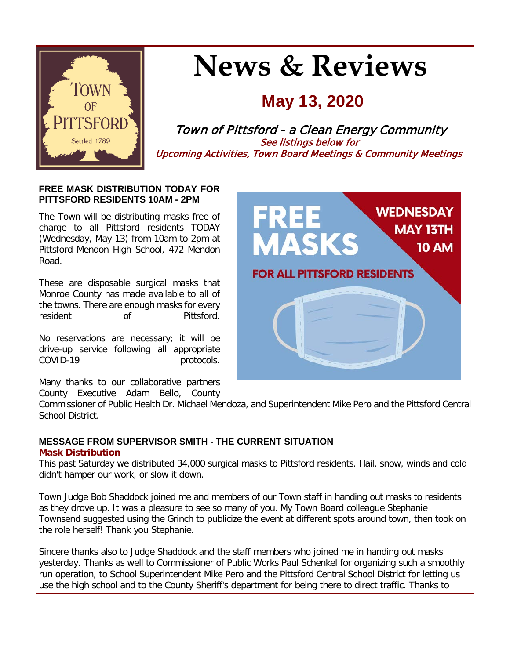

# **News & Reviews**

# **May 13, 2020**

Town of Pittsford - a Clean Energy Community See listings below for Upcoming Activities, Town Board Meetings & Community Meetings

#### **FREE MASK DISTRIBUTION TODAY FOR PITTSFORD RESIDENTS 10AM - 2PM**

The Town will be distributing masks free of charge to all Pittsford residents TODAY (Wednesday, May 13) from 10am to 2pm at Pittsford Mendon High School, 472 Mendon Road.

These are disposable surgical masks that Monroe County has made available to all of the towns. There are enough masks for every<br>resident of Pittsford. of Pittsford.

No reservations are necessary; it will be drive-up service following all appropriate COVID-19 protocols.

Many thanks to our collaborative partners County Executive Adam Bello, County

Commissioner of Public Health Dr. Michael Mendoza, and Superintendent Mike Pero and the Pittsford Central School District.

#### **MESSAGE FROM SUPERVISOR SMITH - THE CURRENT SITUATION Mask Distribution**

This past Saturday we distributed 34,000 surgical masks to Pittsford residents. Hail, snow, winds and cold didn't hamper our work, or slow it down.

Town Judge Bob Shaddock joined me and members of our Town staff in handing out masks to residents as they drove up. It was a pleasure to see so many of you. My Town Board colleague Stephanie Townsend suggested using the Grinch to publicize the event at different spots around town, then took on the role herself! Thank you Stephanie.

Sincere thanks also to Judge Shaddock and the staff members who joined me in handing out masks yesterday. Thanks as well to Commissioner of Public Works Paul Schenkel for organizing such a smoothly run operation, to School Superintendent Mike Pero and the Pittsford Central School District for letting us use the high school and to the County Sheriff's department for being there to direct traffic. Thanks to

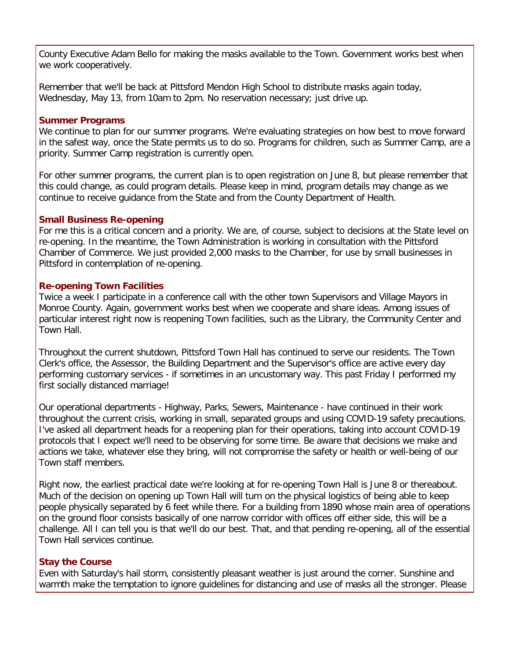County Executive Adam Bello for making the masks available to the Town. Government works best when we work cooperatively.

Remember that we'll be back at Pittsford Mendon High School to distribute masks again today, Wednesday, May 13, from 10am to 2pm. No reservation necessary; just drive up.

#### **Summer Programs**

We continue to plan for our summer programs. We're evaluating strategies on how best to move forward in the safest way, once the State permits us to do so. Programs for children, such as Summer Camp, are a priority. Summer Camp registration is currently open.

For other summer programs, the current plan is to open registration on June 8, but please remember that this could change, as could program details. Please keep in mind, program details may change as we continue to receive guidance from the State and from the County Department of Health.

#### **Small Business Re-opening**

For me this is a critical concern and a priority. We are, of course, subject to decisions at the State level on re-opening. In the meantime, the Town Administration is working in consultation with the Pittsford Chamber of Commerce. We just provided 2,000 masks to the Chamber, for use by small businesses in Pittsford in contemplation of re-opening.

#### **Re-opening Town Facilities**

Twice a week I participate in a conference call with the other town Supervisors and Village Mayors in Monroe County. Again, government works best when we cooperate and share ideas. Among issues of particular interest right now is reopening Town facilities, such as the Library, the Community Center and Town Hall.

Throughout the current shutdown, Pittsford Town Hall has continued to serve our residents. The Town Clerk's office, the Assessor, the Building Department and the Supervisor's office are active every day performing customary services - if sometimes in an uncustomary way. This past Friday I performed my first socially distanced marriage!

Our operational departments - Highway, Parks, Sewers, Maintenance - have continued in their work throughout the current crisis, working in small, separated groups and using COVID-19 safety precautions. I've asked all department heads for a reopening plan for their operations, taking into account COVID-19 protocols that I expect we'll need to be observing for some time. Be aware that decisions we make and actions we take, whatever else they bring, will not compromise the safety or health or well-being of our Town staff members.

Right now, the earliest practical date we're looking at for re-opening Town Hall is June 8 or thereabout. Much of the decision on opening up Town Hall will turn on the physical logistics of being able to keep people physically separated by 6 feet while there. For a building from 1890 whose main area of operations on the ground floor consists basically of one narrow corridor with offices off either side, this will be a challenge. All I can tell you is that we'll do our best. That, and that pending re-opening, all of the essential Town Hall services continue.

#### **Stay the Course**

Even with Saturday's hail storm, consistently pleasant weather is just around the corner. Sunshine and warmth make the temptation to ignore guidelines for distancing and use of masks all the stronger. Please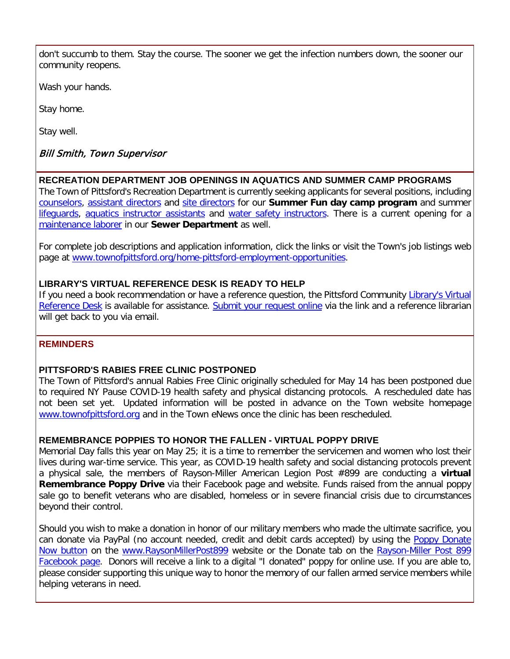don't succumb to them. Stay the course. The sooner we get the infection numbers down, the sooner our community reopens.

Wash your hands.

Stay home.

Stay well.

#### Bill Smith, Town Supervisor

#### **RECREATION DEPARTMENT JOB OPENINGS IN AQUATICS AND SUMMER CAMP PROGRAMS**

The Town of Pittsford's Recreation Department is currently seeking applicants for several positions, including [counselors,](http://r20.rs6.net/tn.jsp?f=001YEYlm5FuqAj-W6uThdQeELZHrXjJQNs9zGO-7OppNEIVL-F8aOf1Mi6EiFUQelo822sW3ZH1OcT8IJXqy6XzsiT5PtOtrtKtv2sEj6GFWVuFgzkxE-ltqLzxZ5hx5Af6K1NgRJVS7EJ2yWEPi3YioGbhJ9_-Fo34oMjThMkyWDV7p6B5BHwQSMrmzOzeC07A22oyerislg2v4AzI4JkvLYlmSUwohlG682R2AQ1hJj1kUvZAlJg5fSf8v5dcrm8mpJZHs0_D3QQuINybi0qd9XmEWa8fgvouUWONnCJvkoLHFIvo3IwSWzK4qdsCKsGMVmQYLW9txyJyk9-X9l5HzWoYR9MfMz60uxy6XD4JzUdoCyEOFzSYz1raZ58tXQT6lPptdXCLwhxKidWlUaQIpQ==&c=nfInK9IzjEuHX_P9zPORknSxqmnB3n5gHM-gHjyHv0MCzbtWPUnWmg==&ch=rQqlZUkb3HzUAu0E1IBVFayVj2FdIofUH8vBPC0DbweplKeKnHI1kA==) [assistant directors](http://r20.rs6.net/tn.jsp?f=001YEYlm5FuqAj-W6uThdQeELZHrXjJQNs9zGO-7OppNEIVL-F8aOf1Mi6EiFUQelo8uG-25l0QMize7Q0z1ElD5F4maBSOkSswU5H1epEa04hLg29kithh2aBXpoUO4_RfkTCizsIQQW7StJoyG3wpRRRC26u4y0KaHiNtNU-EWEpTbADvzI5amBc2W38U1W790HyOVHzP9M_qCBjLH8rJDQmlVO15ALQkmYRvCQuvXwSWjpIUJC3Zn2xMO1ezfhyrchMsDLee2mh4t_-GVlDy4mmCRmLaF5qFJvi_nx7EN0jXq11LbK8sxQFzkDclQJ6hF5aSTdHWnVzSw_xOrdoeJblolulRpib_vfKLdKEpTvY03UaDTk9TLHTSHBJHrTnJnQzH6L6SAJQmFCykuhI1RA==&c=nfInK9IzjEuHX_P9zPORknSxqmnB3n5gHM-gHjyHv0MCzbtWPUnWmg==&ch=rQqlZUkb3HzUAu0E1IBVFayVj2FdIofUH8vBPC0DbweplKeKnHI1kA==) and [site directors](http://r20.rs6.net/tn.jsp?f=001YEYlm5FuqAj-W6uThdQeELZHrXjJQNs9zGO-7OppNEIVL-F8aOf1Mi6EiFUQelo8s4EJLSckbIEexm9XMD64IuXG8pHerwXtf-E28ix7Vmr9LtRFTzsNjCtS_TkiTltmRxekSVqEA5QUrERvMgltiFYr5Tgro51gPIRJywe23NeRTp3JF0GiZS7jbe-NWlV7E7QxdiyOlya96LVZJ8u2XopN2eSXfahD0q3FDau_HeevgD2z-OTvAfypbo565O9JdIH5tGBZbNR_kNo62QJTNm37sl_2aLKzhmpNS2sVKsZXfXFfkOZUwQutWe66vZ_eqjNRarfCSx_QHZP1p_eE1_4Y5o3G9qUW5UEZQXHqw8BP13N8Sbj7ayFEB9g7XaIsql8CTv-C3fA=&c=nfInK9IzjEuHX_P9zPORknSxqmnB3n5gHM-gHjyHv0MCzbtWPUnWmg==&ch=rQqlZUkb3HzUAu0E1IBVFayVj2FdIofUH8vBPC0DbweplKeKnHI1kA==) for our **Summer Fun day camp program** and summer lifequards, [aquatics instructor assistants](http://r20.rs6.net/tn.jsp?f=001YEYlm5FuqAj-W6uThdQeELZHrXjJQNs9zGO-7OppNEIVL-F8aOf1Mi6EiFUQelo8s--0fpk6u0AZIFJ3ervKy-KCLHp09QYY81EMdJObE9dxY2iEdaDk_nF9jSy_iHxn-6wDFusbyVC-JbYm4bMKR5C77VS21-UJuXDP8-SME7ATAW-JnNWW0Xn6kRMZhT5DZTDE1-PUGz7M5j4Zd5pz3NnjN0dXGWTDDvD5kC9odndKXYxYPqCXX-LQ244MsDx856kQShJgFYhFZCVXymDaBWuj30GmRmAVoFuiF9efeNZUsAdggb9u-4UyoL5zW7Gfgaz1SbX1VQ52EzfUlpOl1FEQ9jnQqoWyhlvNIE3yyYlidUzvMerIjuLK1SF_mUxv2k6E-Z01IkTEFcYXl1ords4-hsm1rGMT&c=nfInK9IzjEuHX_P9zPORknSxqmnB3n5gHM-gHjyHv0MCzbtWPUnWmg==&ch=rQqlZUkb3HzUAu0E1IBVFayVj2FdIofUH8vBPC0DbweplKeKnHI1kA==) and [water safety instructors.](http://r20.rs6.net/tn.jsp?f=001YEYlm5FuqAj-W6uThdQeELZHrXjJQNs9zGO-7OppNEIVL-F8aOf1Mi6EiFUQelo8nk3Y-XHiNgueyKses-rmITfvowVkqAN_Cq8ddiqnuAIpD8ttLpwleSO9LmTVZTphuLJfQP6LSJDNT-uBlScjW0Hj8sk-sIcns3kUur4gbpeVGH97cPE-9J8b6JsjWLEpiH6zeR7IraN9lfRITSg8R4rM0w4luE67-BLHd_x4jrlzv4N8qyF4xPa2K8QdJs4MRN6SZpeYfcAVQHxQpGR06ct-eAL9YuK9qRXsr4DEzJt3jM4qy3D1nZE3zmqXkdaT3Sba38SA9SrufIEx-msxrYzS8UzRDj5ioNOkby5awxBMhoLYYAdyq06Vhy1cC4y986v_1_hzEXzsIG85JNIjx9Hrd6EzZkVPTIAxJNvm8cs=&c=nfInK9IzjEuHX_P9zPORknSxqmnB3n5gHM-gHjyHv0MCzbtWPUnWmg==&ch=rQqlZUkb3HzUAu0E1IBVFayVj2FdIofUH8vBPC0DbweplKeKnHI1kA==) There is a current opening for a [maintenance laborer](http://r20.rs6.net/tn.jsp?f=001YEYlm5FuqAj-W6uThdQeELZHrXjJQNs9zGO-7OppNEIVL-F8aOf1Mi6EiFUQelo8MJUu4HsiIVMrthRVO59P8RSblB7eaaCwbQDTj5mhKMqhbZ3raW_mt2332Y_Y7SL27qqz268FKULnDFEJWqiNC4CaCbJIhGS9cP4zqnhyO0B_V0eR4xMQLXthwXkVVZ3aKgGFaegPgny-83p7n6D7Xt7DM5qGEF_zzjdQCrqCk6oKBR5XxTbjVTjBg14NM3KcU8Pjz9RnZfX6CyBc52CuM7ZgIfMpIH5RtEKMNhBMhh38UtEzmNdTd1q82lDFf1-TRbxpH-M1H7wJM1gKbX1LwiPKVSVxLJAJXTgMnMEOMQXsZzF9abs98bYePYAeWFS93UnUR1Cx1OKBbppOH18Hzw==&c=nfInK9IzjEuHX_P9zPORknSxqmnB3n5gHM-gHjyHv0MCzbtWPUnWmg==&ch=rQqlZUkb3HzUAu0E1IBVFayVj2FdIofUH8vBPC0DbweplKeKnHI1kA==) in our **Sewer Department** as well.

For complete job descriptions and application information, click the links or visit the Town's job listings web page at [www.townofpittsford.org/home-pittsford-employment-opportunities.](http://r20.rs6.net/tn.jsp?f=001YEYlm5FuqAj-W6uThdQeELZHrXjJQNs9zGO-7OppNEIVL-F8aOf1MiDv5o71qGCsg2rhrTp1EXc-yqE2TZn3CCIbxi5N0U3Cs5FVM9A-nXxQ4TFR_Tizovver9XsD72hRACgC98J4RQ0bBGs2rd_cz8XnLvlMIDBGRvlDMFmZYQnXqqZHIcCyAiOCDfGfC_-T-Gza03i5kQ2J3U18S-rvLfRmrOdStTIZtT7xn29EY9N94dU1csn5UXf963AVrKjYVRaS0ykdv_y7Zj-i_ipPO7Q3XMDYVNNz_C6wr7K6YPyFzsQXEdqszxh5LboGrlV-hVqGWvedYcP6sHhsXnDwZVXLHOsbO6f&c=nfInK9IzjEuHX_P9zPORknSxqmnB3n5gHM-gHjyHv0MCzbtWPUnWmg==&ch=rQqlZUkb3HzUAu0E1IBVFayVj2FdIofUH8vBPC0DbweplKeKnHI1kA==)

#### **LIBRARY'S VIRTUAL REFERENCE DESK IS READY TO HELP**

If you need a book recommendation or have a reference question, the Pittsford Community [Library's Virtual](http://r20.rs6.net/tn.jsp?f=001YEYlm5FuqAj-W6uThdQeELZHrXjJQNs9zGO-7OppNEIVL-F8aOf1Mi6EiFUQelo8t3d1HDc4jI3J62YMW6PpCz2Un7gDKbn9hu2AnagvQW7aufaCFrIEnF65w3D6hP7GcwYsmsbSDrIf-FDb_KblQQMkkVpmAy_uyw1t5EqqzhzLii0r_FFKhEe9tTnKcXQyvzSWD8PeGG_bZ-2JEE_b6kJhz3pBSv7xh3RbUeivhktbdXUvtUOqpNn3uUs_xQQJQpLXm15Hm7Xfm53SaaUiAYYoArqQafyMkO3RGHHqtV1jFV4pdzQ12Af8ADHAe-R8xcOGiZXwstJqVnWN7vv-sjNWBiE-_FruhJK-OwVXByRsCYfXLIkMs_s7ZIVB0wQEfE5J8W2K-bQq58SdSLaGvA==&c=nfInK9IzjEuHX_P9zPORknSxqmnB3n5gHM-gHjyHv0MCzbtWPUnWmg==&ch=rQqlZUkb3HzUAu0E1IBVFayVj2FdIofUH8vBPC0DbweplKeKnHI1kA==)  [Reference Desk](http://r20.rs6.net/tn.jsp?f=001YEYlm5FuqAj-W6uThdQeELZHrXjJQNs9zGO-7OppNEIVL-F8aOf1Mi6EiFUQelo8t3d1HDc4jI3J62YMW6PpCz2Un7gDKbn9hu2AnagvQW7aufaCFrIEnF65w3D6hP7GcwYsmsbSDrIf-FDb_KblQQMkkVpmAy_uyw1t5EqqzhzLii0r_FFKhEe9tTnKcXQyvzSWD8PeGG_bZ-2JEE_b6kJhz3pBSv7xh3RbUeivhktbdXUvtUOqpNn3uUs_xQQJQpLXm15Hm7Xfm53SaaUiAYYoArqQafyMkO3RGHHqtV1jFV4pdzQ12Af8ADHAe-R8xcOGiZXwstJqVnWN7vv-sjNWBiE-_FruhJK-OwVXByRsCYfXLIkMs_s7ZIVB0wQEfE5J8W2K-bQq58SdSLaGvA==&c=nfInK9IzjEuHX_P9zPORknSxqmnB3n5gHM-gHjyHv0MCzbtWPUnWmg==&ch=rQqlZUkb3HzUAu0E1IBVFayVj2FdIofUH8vBPC0DbweplKeKnHI1kA==) is available for assistance. [Submit your request online](http://r20.rs6.net/tn.jsp?f=001YEYlm5FuqAj-W6uThdQeELZHrXjJQNs9zGO-7OppNEIVL-F8aOf1Mi6EiFUQelo8t3d1HDc4jI3J62YMW6PpCz2Un7gDKbn9hu2AnagvQW7aufaCFrIEnF65w3D6hP7GcwYsmsbSDrIf-FDb_KblQQMkkVpmAy_uyw1t5EqqzhzLii0r_FFKhEe9tTnKcXQyvzSWD8PeGG_bZ-2JEE_b6kJhz3pBSv7xh3RbUeivhktbdXUvtUOqpNn3uUs_xQQJQpLXm15Hm7Xfm53SaaUiAYYoArqQafyMkO3RGHHqtV1jFV4pdzQ12Af8ADHAe-R8xcOGiZXwstJqVnWN7vv-sjNWBiE-_FruhJK-OwVXByRsCYfXLIkMs_s7ZIVB0wQEfE5J8W2K-bQq58SdSLaGvA==&c=nfInK9IzjEuHX_P9zPORknSxqmnB3n5gHM-gHjyHv0MCzbtWPUnWmg==&ch=rQqlZUkb3HzUAu0E1IBVFayVj2FdIofUH8vBPC0DbweplKeKnHI1kA==) via the link and a reference librarian will get back to you via email.

#### **REMINDERS**

#### **PITTSFORD'S RABIES FREE CLINIC POSTPONED**

The Town of Pittsford's annual Rabies Free Clinic originally scheduled for May 14 has been postponed due to required NY Pause COVID-19 health safety and physical distancing protocols. A rescheduled date has not been set yet. Updated information will be posted in advance on the Town website homepage [www.townofpittsford.org](http://r20.rs6.net/tn.jsp?f=001YEYlm5FuqAj-W6uThdQeELZHrXjJQNs9zGO-7OppNEIVL-F8aOf1MpkLmxXegeASomRSVaFXfSgVpFdoTYovRHqbZK5t_K72VEWZf3lfizabPuROsHL4BG7LkabW4RofSOoxuBv7xOQKSDc2e_7XwkWvSIWR-kFMpV2bc6FonKwLqjsUFdjL1c8_we9yoQs4fI6XaWJrOyfor5Py2nBA0uM0Jc4KfoALlb0CoM-HMUE01a28ka64NOCXJe8mdlIY6TFRMV3WlJehCNPsndWnzGjlU25bKqm8mFxohdRMJYE=&c=nfInK9IzjEuHX_P9zPORknSxqmnB3n5gHM-gHjyHv0MCzbtWPUnWmg==&ch=rQqlZUkb3HzUAu0E1IBVFayVj2FdIofUH8vBPC0DbweplKeKnHI1kA==) and in the Town eNews once the clinic has been rescheduled.

#### **REMEMBRANCE POPPIES TO HONOR THE FALLEN - VIRTUAL POPPY DRIVE**

Memorial Day falls this year on May 25; it is a time to remember the servicemen and women who lost their lives during war-time service. This year, as COVID-19 health safety and social distancing protocols prevent a physical sale, the members of Rayson-Miller American Legion Post #899 are conducting a **virtual Remembrance Poppy Drive** via their Facebook page and website. Funds raised from the annual poppy sale go to benefit veterans who are disabled, homeless or in severe financial crisis due to circumstances beyond their control.

Should you wish to make a donation in honor of our military members who made the ultimate sacrifice, you can donate via PayPal (no account needed, credit and debit cards accepted) by using the [Poppy Donate](https://www.paypal.com/donate/?token=FOVdPC9g_b_mfzOM_SZhS2MjoKajRb8_qwzcGp26UuGjkeOB2yu1xbZqMTDU7Iq1nJUYk0&country.x=US&locale.x=US)  [Now button](https://www.paypal.com/donate/?token=FOVdPC9g_b_mfzOM_SZhS2MjoKajRb8_qwzcGp26UuGjkeOB2yu1xbZqMTDU7Iq1nJUYk0&country.x=US&locale.x=US) on the [www.RaysonMillerPost899](http://r20.rs6.net/tn.jsp?f=001YEYlm5FuqAj-W6uThdQeELZHrXjJQNs9zGO-7OppNEIVL-F8aOf1Mmrth8lEVgt6m7NgS6w1AoUaU9T-HOPC6CBaDW8dUKVKjVFtvH8bjnAnsBmqYSXnOR9ddZMRmWOGsY14UExq2OzZvW7Sl72fLijswpOrnh8jIAt0oE3_vPzlPuqlUtXCK6R-yImabsKR0KlxKsf_gePU-m46_No0F-epBzxhyZ5FglV_Bn0vBuVC8kwCoesWTiSNtoswlH_e-5Ult2E1eRPJ6nkVhEMWyA9DP_JgphwXBcS88_ke_X8=&c=nfInK9IzjEuHX_P9zPORknSxqmnB3n5gHM-gHjyHv0MCzbtWPUnWmg==&ch=rQqlZUkb3HzUAu0E1IBVFayVj2FdIofUH8vBPC0DbweplKeKnHI1kA==) website or the Donate tab on the [Rayson-Miller Post 899](http://r20.rs6.net/tn.jsp?f=001YEYlm5FuqAj-W6uThdQeELZHrXjJQNs9zGO-7OppNEIVL-F8aOf1Mmrth8lEVgt6FW5B4EDeTE7R8ck3_AYmM_oEZKJtq3Xygg1BNEn87EdhmL-_PJa7acYqPGecC7SPPfMkyvhpAXVWdt6wdO3x4-dU8RFjJTKo6EZtKlUfz9APrvNXBeggy_0u-YQ-ZMYqtf4w-F5kr7k=&c=nfInK9IzjEuHX_P9zPORknSxqmnB3n5gHM-gHjyHv0MCzbtWPUnWmg==&ch=rQqlZUkb3HzUAu0E1IBVFayVj2FdIofUH8vBPC0DbweplKeKnHI1kA==)  [Facebook page.](http://r20.rs6.net/tn.jsp?f=001YEYlm5FuqAj-W6uThdQeELZHrXjJQNs9zGO-7OppNEIVL-F8aOf1Mmrth8lEVgt6FW5B4EDeTE7R8ck3_AYmM_oEZKJtq3Xygg1BNEn87EdhmL-_PJa7acYqPGecC7SPPfMkyvhpAXVWdt6wdO3x4-dU8RFjJTKo6EZtKlUfz9APrvNXBeggy_0u-YQ-ZMYqtf4w-F5kr7k=&c=nfInK9IzjEuHX_P9zPORknSxqmnB3n5gHM-gHjyHv0MCzbtWPUnWmg==&ch=rQqlZUkb3HzUAu0E1IBVFayVj2FdIofUH8vBPC0DbweplKeKnHI1kA==) Donors will receive a link to a digital "I donated" poppy for online use. If you are able to, please consider supporting this unique way to honor the memory of our fallen armed service members while helping veterans in need.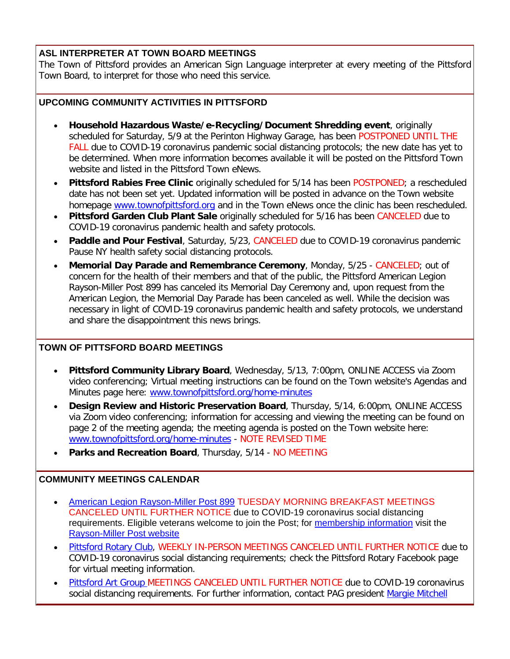#### **ASL INTERPRETER AT TOWN BOARD MEETINGS**

The Town of Pittsford provides an American Sign Language interpreter at every meeting of the Pittsford Town Board, to interpret for those who need this service.

#### **UPCOMING COMMUNITY ACTIVITIES IN PITTSFORD**

- **Household Hazardous Waste/e-Recycling/Document Shredding event**, originally scheduled for Saturday, 5/9 at the Perinton Highway Garage, has been POSTPONED UNTIL THE FALL due to COVID-19 coronavirus pandemic social distancing protocols; the new date has yet to be determined. When more information becomes available it will be posted on the Pittsford Town website and listed in the Pittsford Town eNews.
- **Pittsford Rabies Free Clinic** originally scheduled for 5/14 has been POSTPONED; a rescheduled date has not been set yet. Updated information will be posted in advance on the Town website homepage [www.townofpittsford.org](http://www.townofpittsford.org/) and in the Town eNews once the clinic has been rescheduled.
- **Pittsford Garden Club Plant Sale** originally scheduled for 5/16 has been CANCELED due to COVID-19 coronavirus pandemic health and safety protocols.
- **Paddle and Pour Festival**, Saturday, 5/23, CANCELED due to COVID-19 coronavirus pandemic Pause NY health safety social distancing protocols.
- **Memorial Day Parade and Remembrance Ceremony**, Monday, 5/25 CANCELED; out of concern for the health of their members and that of the public, the Pittsford American Legion Rayson-Miller Post 899 has canceled its Memorial Day Ceremony and, upon request from the American Legion, the Memorial Day Parade has been canceled as well. While the decision was necessary in light of COVID-19 coronavirus pandemic health and safety protocols, we understand and share the disappointment this news brings.

#### **TOWN OF PITTSFORD BOARD MEETINGS**

- **Pittsford Community Library Board**, Wednesday, 5/13, 7:00pm, ONLINE ACCESS via Zoom video conferencing; Virtual meeting instructions can be found on the Town website's Agendas and Minutes page here: [www.townofpittsford.org/home-minutes](http://r20.rs6.net/tn.jsp?f=001YEYlm5FuqAj-W6uThdQeELZHrXjJQNs9zGO-7OppNEIVL-F8aOf1Mm4LcMeSt7MoaHrisVARhDrVEgWpg81xhSbJfdgfwPcJhX1GnykG0-tqSxBC8XvNNuM-7gVWOs5RNK0YIKfJ0hHq4UBk3W4Vf8hpSGU7migJanJyFHINrYaH99cxshXn5HJwVrLsCDkqurPGCxnYv72yuuI35x9FBFF8XH2k01Ig4znQGhp_JfU0njeQe_cPtxri0wapM35H-cgC7Mgb7yG5s7-6d7NZU9_amVPtg4Pu_JUWWZrcQZVEXhlFU4bARA==&c=nfInK9IzjEuHX_P9zPORknSxqmnB3n5gHM-gHjyHv0MCzbtWPUnWmg==&ch=rQqlZUkb3HzUAu0E1IBVFayVj2FdIofUH8vBPC0DbweplKeKnHI1kA==)
- **Design Review and Historic Preservation Board**, Thursday, 5/14, 6:00pm, ONLINE ACCESS via Zoom video conferencing; information for accessing and viewing the meeting can be found on page 2 of the meeting agenda; the meeting agenda is posted on the Town website here: [www.townofpittsford.org/home-minutes](http://r20.rs6.net/tn.jsp?f=001YEYlm5FuqAj-W6uThdQeELZHrXjJQNs9zGO-7OppNEIVL-F8aOf1Mm4LcMeSt7MoaHrisVARhDrVEgWpg81xhSbJfdgfwPcJhX1GnykG0-tqSxBC8XvNNuM-7gVWOs5RNK0YIKfJ0hHq4UBk3W4Vf8hpSGU7migJanJyFHINrYaH99cxshXn5HJwVrLsCDkqurPGCxnYv72yuuI35x9FBFF8XH2k01Ig4znQGhp_JfU0njeQe_cPtxri0wapM35H-cgC7Mgb7yG5s7-6d7NZU9_amVPtg4Pu_JUWWZrcQZVEXhlFU4bARA==&c=nfInK9IzjEuHX_P9zPORknSxqmnB3n5gHM-gHjyHv0MCzbtWPUnWmg==&ch=rQqlZUkb3HzUAu0E1IBVFayVj2FdIofUH8vBPC0DbweplKeKnHI1kA==) - NOTE REVISED TIME
- **Parks and Recreation Board**, Thursday, 5/14 NO MEETING

#### **COMMUNITY MEETINGS CALENDAR**

- [American Legion Rayson-Miller Post 899](http://r20.rs6.net/tn.jsp?f=001YEYlm5FuqAj-W6uThdQeELZHrXjJQNs9zGO-7OppNEIVL-F8aOf1MpD40TizdgY9-ugsFGrGRF5WzCxoqlh_vItv__D4ACIX-2HrNQGeYlTJYCAxw6V7rgUXLD5S-L5rXP-BVObI4ABmL_jrxTgQWnDcuPuTjTrGhURWK9hrqMoXqM9QqEXDsrq-wRNJbJzo9-hOiaAbwvC2WkTs3yc-DbZ-z2GpV6CIAHXRQgD_kFwicR3o7NKVEfMAjF2dmUU80jnkfcJkCa6Az77vJXZNvl8CVzZSt5EGWfKaLiSIWdthsIoX63AU-A==&c=nfInK9IzjEuHX_P9zPORknSxqmnB3n5gHM-gHjyHv0MCzbtWPUnWmg==&ch=rQqlZUkb3HzUAu0E1IBVFayVj2FdIofUH8vBPC0DbweplKeKnHI1kA==) TUESDAY MORNING BREAKFAST MEETINGS CANCELED UNTIL FURTHER NOTICE due to COVID-19 coronavirus social distancing requirements. Eligible veterans welcome to join the Post; for [membership information](http://r20.rs6.net/tn.jsp?f=001YEYlm5FuqAj-W6uThdQeELZHrXjJQNs9zGO-7OppNEIVL-F8aOf1MpD40TizdgY9EYzugJWKtnagaLe-WChMboZy8EemIUmBRCIC8r-EyFIxrrLc7ZlvFVJLJyyOA3FyL_DnkeB2m3eSkGv6oQ1SyuJUh0oNNzrcEAtZmshBeoyJRnZjquqe9P58kcpiMpuiZx8OBkhJR7M2NS5c-RM6-qsReq6xQOpypWiraCCq659GcVawM4EVUBPNNabiNCuOSYf8YaC3UpVG6aO7MfL-zoGL15i6LYLRCyRtizPSe926AIzEH2TmX6rmf-zVCE8bc4KH3wDp6AM=&c=nfInK9IzjEuHX_P9zPORknSxqmnB3n5gHM-gHjyHv0MCzbtWPUnWmg==&ch=rQqlZUkb3HzUAu0E1IBVFayVj2FdIofUH8vBPC0DbweplKeKnHI1kA==) visit the [Rayson-Miller Post website](http://r20.rs6.net/tn.jsp?f=001YEYlm5FuqAj-W6uThdQeELZHrXjJQNs9zGO-7OppNEIVL-F8aOf1Mlaa6aXcvZa3gvK8iZAwDDoMWQuLZvJ5q4nQGlrF_D9bWMrrOVbTfLfYeuSx_tmxISa-Epv0NRLTBK883-lUkUsYrmmouXBXsoAGvo8jJdnR1f6TgHlc5DXUyRUBc6iHGrvF9xv-XzfQXzWeaREmDmlGj7M8jD_z4SSxa9pmC8zV0sZW-ehZRZuDjLAC1s1I4bDi3zrEhU-xvvI1FnnLNRHQyAiCTaNyOWPFyXX3tZUXEUDc5Im2L3BJYcnKw_uDcHkSV91jJKT3gwP7KIcF0Mjh-SHhyFXpoGLkhf5joUdwM3BsTc3pgDh_tN5nXYtQ8FKf2ftTbEvneI9zyYTJO44=&c=nfInK9IzjEuHX_P9zPORknSxqmnB3n5gHM-gHjyHv0MCzbtWPUnWmg==&ch=rQqlZUkb3HzUAu0E1IBVFayVj2FdIofUH8vBPC0DbweplKeKnHI1kA==)
- [Pittsford Rotary Club,](http://r20.rs6.net/tn.jsp?f=001YEYlm5FuqAj-W6uThdQeELZHrXjJQNs9zGO-7OppNEIVL-F8aOf1Mm4LcMeSt7MoRpTUvZwEHfGCixhvlL6pq3oRR8kRY8koIY1onSI1aIu9iyQBIc-9E8MKIXKIBORhMn9ASZdHL2r7XLAMiJDs_OOpSB5CdpmgWZEcl6bbmZMuGAb2B_ddiU6Cp5TA8x84jaSu3VPwzu5orMaaTPm_typybINMqialVlef_FWWprhWtQee0TFmCxJbGF4lAYbD5q_63OP_Bz7vEgr7SdQZtTrhlFN3nSJUILBt3cTV-pU=&c=nfInK9IzjEuHX_P9zPORknSxqmnB3n5gHM-gHjyHv0MCzbtWPUnWmg==&ch=rQqlZUkb3HzUAu0E1IBVFayVj2FdIofUH8vBPC0DbweplKeKnHI1kA==) WEEKLY IN-PERSON MEETINGS CANCELED UNTIL FURTHER NOTICE due to COVID-19 coronavirus social distancing requirements; check the Pittsford Rotary Facebook page for virtual meeting information.
- [Pittsford Art Group M](https://pittsfordartgroup.wordpress.com/?utm_source=eNews+5-13-20&utm_campaign=eNews+05-13-20&utm_medium=email)EETINGS CANCELED UNTIL FURTHER NOTICE due to COVID-19 coronavirus social distancing requirements. For further information, contact PAG president [Margie Mitchell](mailto:mhsmitchell@gmail.com?subject=Pittsford%20Art%20Group%20Meetings%20and%20Membership)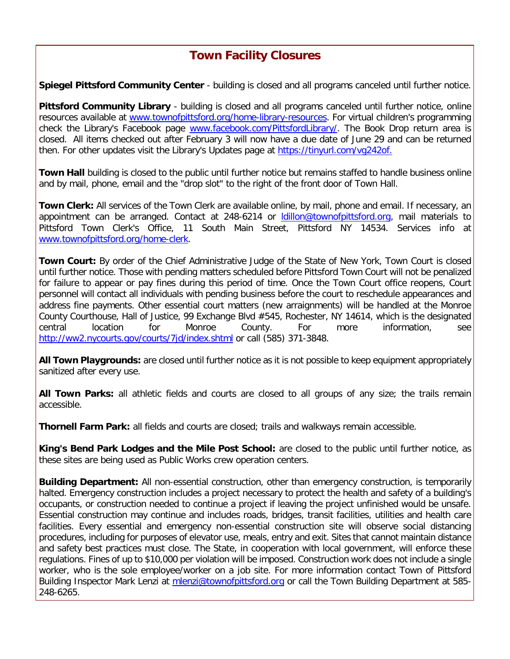## **Town Facility Closures**

**Spiegel Pittsford Community Center** - building is closed and all programs canceled until further notice.

**Pittsford Community Library** - building is closed and all programs canceled until further notice, online resources available at [www.townofpittsford.org/home-library-resources.](http://r20.rs6.net/tn.jsp?f=001YEYlm5FuqAj-W6uThdQeELZHrXjJQNs9zGO-7OppNEIVL-F8aOf1Moe8JmcOBQ9a4Dm4XWwDIjoVysWfKbAcu1FLzY0Py634_6mwHhTIBU8RNTYHutwzSq3mGf0HtME-fNmJ6Uy8XXHlz_F57MAixvutWD3q582bqpcwljj9972U59gE0dVJahDcJjK99TEe4VfDFEvTyfVLZj-4i__z5VBGoQcF7zLHgs9sqUow7CSdpUKLSR207X0KflQqpFLouUfUDYv53pf6Bimv7W7WWYIN8ZwQez2TKPqoL7umfkOI9TSluQfNfLnkaI4s_3RYfk5dpEWFLSs=&c=nfInK9IzjEuHX_P9zPORknSxqmnB3n5gHM-gHjyHv0MCzbtWPUnWmg==&ch=rQqlZUkb3HzUAu0E1IBVFayVj2FdIofUH8vBPC0DbweplKeKnHI1kA==) For virtual children's programming check the Library's Facebook page [www.facebook.com/PittsfordLibrary/.](http://r20.rs6.net/tn.jsp?f=001YEYlm5FuqAj-W6uThdQeELZHrXjJQNs9zGO-7OppNEIVL-F8aOf1Mqrhg0HCqToWyaNWk8oE5rk3csD7fZs3njkoN7Bk18OZ1VEpq5BJga2Jzl6hiwLcLqi9AG7cBRo-Rjoya9xrnD4YK7yKtxzJWytzjCqF7toNJf7MMr1v8P3p-CZAAxReWo97eeKyFQ4AoLNlD4KMVdY=&c=nfInK9IzjEuHX_P9zPORknSxqmnB3n5gHM-gHjyHv0MCzbtWPUnWmg==&ch=rQqlZUkb3HzUAu0E1IBVFayVj2FdIofUH8vBPC0DbweplKeKnHI1kA==) The Book Drop return area is closed. All items checked out after February 3 will now have a due date of June 29 and can be returned then. For other updates visit the Library's Updates page at [https://tinyurl.com/vg242of.](http://r20.rs6.net/tn.jsp?f=001YEYlm5FuqAj-W6uThdQeELZHrXjJQNs9zGO-7OppNEIVL-F8aOf1Mqrhg0HCqToWQBXLl1MzWJ7S_llTs5AiPY6-RGvCXkfzIwajO305zgQVQwOO2m9veiB7VmkXrGow5Bi_qdv3KMoRpP3Q2Q3cc0tmiK-05DR9Lct6cLD_3ZIMJkZTG66RVw==&c=nfInK9IzjEuHX_P9zPORknSxqmnB3n5gHM-gHjyHv0MCzbtWPUnWmg==&ch=rQqlZUkb3HzUAu0E1IBVFayVj2FdIofUH8vBPC0DbweplKeKnHI1kA==)

**Town Hall** building is closed to the public until further notice but remains staffed to handle business online and by mail, phone, email and the "drop slot" to the right of the front door of Town Hall.

**Town Clerk:** All services of the Town Clerk are available online, by mail, phone and email. If necessary, an appointment can be arranged. Contact at 248-6214 or [ldillon@townofpittsford.org,](mailto:ldillon@townofpittsford.org) mail materials to Pittsford Town Clerk's Office, 11 South Main Street, Pittsford NY 14534. Services info at [www.townofpittsford.org/home-clerk.](http://r20.rs6.net/tn.jsp?f=001YEYlm5FuqAj-W6uThdQeELZHrXjJQNs9zGO-7OppNEIVL-F8aOf1Moe8JmcOBQ9abybbuzG4R7IxzrQugPyEZWTGbQm6ULxF6WVCp-loSRtjQDlx0L9b3cgK-3gmIBus3FnXZVQzaCgI8RG99papmT04irN3idWj978mX3zNLVAfLmVMFvYod1krWHL8WPB4O8oYJhKNqweY35uW3HquBjlC603TCF2754zXeY9cwERUbEd7XzHuWolpiso80dyfCWZZ-xTkBcAm_r2KpLnP_d2CHNPUrqjkq2FxVe64Q_ZTJ-jvMEviaQ==&c=nfInK9IzjEuHX_P9zPORknSxqmnB3n5gHM-gHjyHv0MCzbtWPUnWmg==&ch=rQqlZUkb3HzUAu0E1IBVFayVj2FdIofUH8vBPC0DbweplKeKnHI1kA==)

**Town Court:** By order of the Chief Administrative Judge of the State of New York, Town Court is closed until further notice. Those with pending matters scheduled before Pittsford Town Court will not be penalized for failure to appear or pay fines during this period of time. Once the Town Court office reopens, Court personnel will contact all individuals with pending business before the court to reschedule appearances and address fine payments. Other essential court matters (new arraignments) will be handled at the Monroe County Courthouse, Hall of Justice, 99 Exchange Blvd #545, Rochester, NY 14614, which is the designated central location for Monroe County. For more information, see [http://ww2.nycourts.gov/courts/7jd/index.shtml](http://r20.rs6.net/tn.jsp?f=001YEYlm5FuqAj-W6uThdQeELZHrXjJQNs9zGO-7OppNEIVL-F8aOf1MiWOhL4x82ExqMCB3n3W1Dk6u6NiYU4Ooc-SymVn-V3HFBEXZvVl4qEz3eJ-nyQ6hFx95kPB4ekJYT3S2R-Rvt85m8WYaydxRUKXyee6SPwQfH88buZBztzzyKafkld4qfRT_tRP3ikJk__nUkXS8Jt7josAxoWK8iC2WQ-HV_qS-BaSYWVz67lwo0xpdWPYvqM26ngRNl3RBf7RTo-WoPGx3Z0hdu2nsHmiZcdsEd5ii3oKj_vYN7lZmVi0j0pDetTMnGgIwh3j&c=nfInK9IzjEuHX_P9zPORknSxqmnB3n5gHM-gHjyHv0MCzbtWPUnWmg==&ch=rQqlZUkb3HzUAu0E1IBVFayVj2FdIofUH8vBPC0DbweplKeKnHI1kA==) or call (585) 371-3848.

**All Town Playgrounds:** are closed until further notice as it is not possible to keep equipment appropriately sanitized after every use.

**All Town Parks:** all athletic fields and courts are closed to all groups of any size; the trails remain accessible.

**Thornell Farm Park:** all fields and courts are closed; trails and walkways remain accessible.

**King's Bend Park Lodges and the Mile Post School:** are closed to the public until further notice, as these sites are being used as Public Works crew operation centers.

**Building Department:** All non-essential construction, other than emergency construction, is temporarily halted. Emergency construction includes a project necessary to protect the health and safety of a building's occupants, or construction needed to continue a project if leaving the project unfinished would be unsafe. Essential construction may continue and includes roads, bridges, transit facilities, utilities and health care facilities. Every essential and emergency non-essential construction site will observe social distancing procedures, including for purposes of elevator use, meals, entry and exit. Sites that cannot maintain distance and safety best practices must close. The State, in cooperation with local government, will enforce these regulations. Fines of up to \$10,000 per violation will be imposed. Construction work does not include a single worker, who is the sole employee/worker on a job site. For more information contact Town of Pittsford Building Inspector Mark Lenzi at [mlenzi@townofpittsford.org](mailto:mlenzi@townofpittsford.org?subject=COVID-19%20Construciton%20Information) or call the Town Building Department at 585-248-6265.